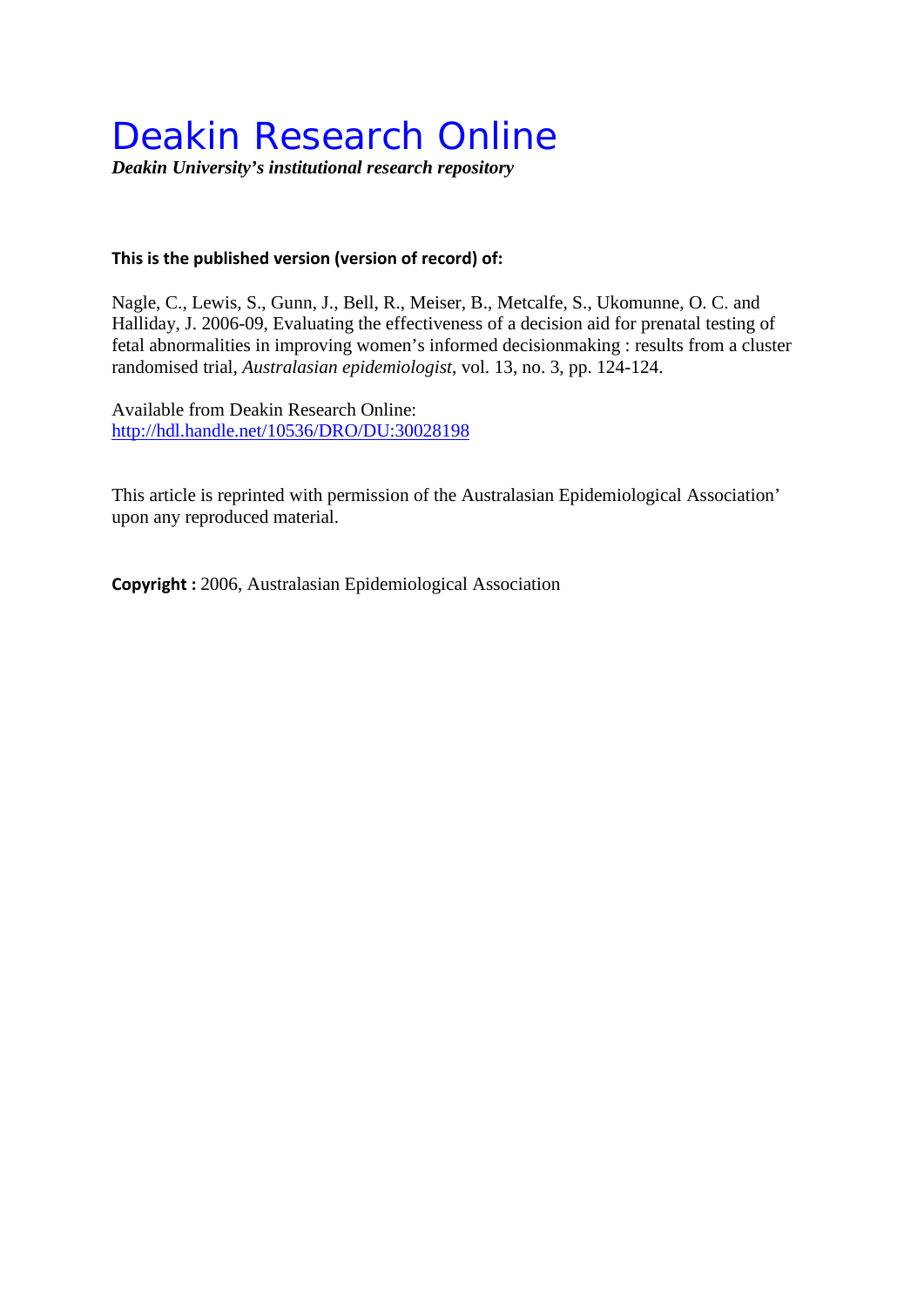## Deakin Research Online

*Deakin University's institutional research repository*

## **This is the published version (version of record) of:**

Nagle, C., Lewis, S., Gunn, J., Bell, R., Meiser, B., Metcalfe, S., Ukomunne, O. C. and Halliday, J. 2006-09, Evaluating the effectiveness of a decision aid for prenatal testing of fetal abnormalities in improving women's informed decisionmaking : results from a cluster randomised trial*, Australasian epidemiologist*, vol. 13, no. 3, pp. 124-124.

Available from Deakin Research Online: <http://hdl.handle.net/10536/DRO/DU:30028198>

This article is reprinted with permission of the Australasian Epidemiological Association' upon any reproduced material.

**Copyright :** 2006, Australasian Epidemiological Association